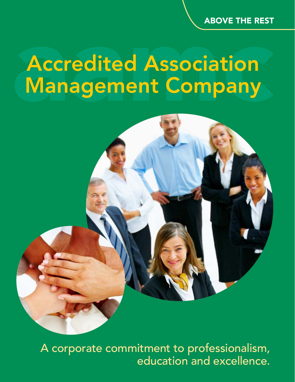ABOVE THE REST

## Accredited Association Management Company



 A corporate commitment to professionalism, education and excellence.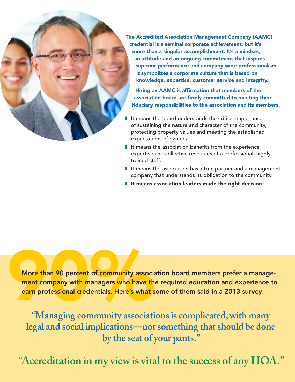

The Accredited Association Management Company (AAMC) credential is a seminal corporate achievement, but it's more than a singular accomplishment. It's a mindset, an attitude and an ongoing commitment that inspires superior performance and company-wide professionalism. It symbolizes a corporate culture that is based on knowledge, expertise, customer service and integrity.

Hiring an AAMC is affirmation that members of the association board are firmly committed to meeting their fiduciary responsibilities to the association and its members.

- It means the board understands the critical importance of sustaining the nature and character of the community, protecting property values and meeting the established expectations of owners.
- $\blacksquare$  It means the association benefits from the experience, expertise and collective resources of a professional, highly trained staff.
- It means the association has a true partner and a management company that understands its obligation to the community.
- It means association leaders made the right decision!

More than 90 percent of community association board members prefer a manage-<br>ment company with managers who have the required education and experience to<br>earn professional credentials. Here's what some of them said in a 20 ment company with managers who have the required education and experience to earn professional credentials. Here's what some of them said in a 2013 survey:

**"Managing community associations is complicated, with many legal and social implications—not something that should be done by the seat of your pants."** 

"Accreditation in my view is vital to the success of any HOA."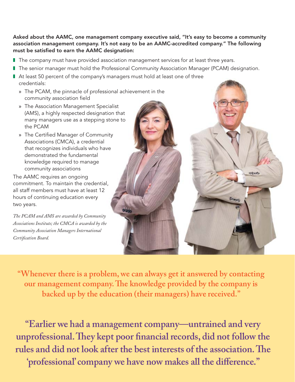Asked about the AAMC, one management company executive said, "It's easy to become a community association management company. It's not easy to be an AAMC-accredited company." The following must be satisfied to earn the AAMC designation:

- The company must have provided association management services for at least three years.
- The senior manager must hold the Professional Community Association Manager (PCAM) designation.
- At least 50 percent of the company's managers must hold at least one of three credentials:
	- » The PCAM, the pinnacle of professional achievement in the community association field
	- » The Association Management Specialist (AMS), a highly respected designation that many managers use as a stepping stone to the PCAM
	- » The Certified Manager of Community Associations (CMCA), a credential that recognizes individuals who have demonstrated the fundamental knowledge required to manage community associations

The AAMC requires an ongoing commitment. To maintain the credential, all staff members must have at least 12 hours of continuing education every two years.

*The PCAM and AMS are awarded by Community Associations Institute; the CMCA is awarded by the Community Association Managers International Certifi cation Board.*

**"Whenever there is a problem, we can always get it answered by contacting**  our management company. The knowledge provided by the company is **backed up by the education (their managers) have received."** 

**"Earlier we had a management company—untrained and very**  unprofessional. They kept poor financial records, did not follow the rules and did not look after the best interests of the association. The 'professional' company we have now makes all the difference."